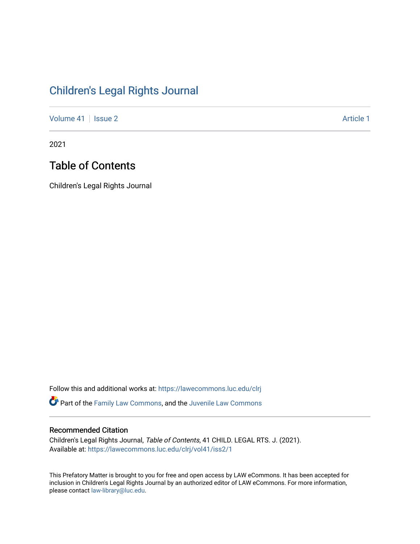## [Children's Legal Rights Journal](https://lawecommons.luc.edu/clrj)

[Volume 41](https://lawecommons.luc.edu/clrj/vol41) | [Issue 2](https://lawecommons.luc.edu/clrj/vol41/iss2) Article 1

2021

## Table of Contents

Children's Legal Rights Journal

Follow this and additional works at: [https://lawecommons.luc.edu/clrj](https://lawecommons.luc.edu/clrj?utm_source=lawecommons.luc.edu%2Fclrj%2Fvol41%2Fiss2%2F1&utm_medium=PDF&utm_campaign=PDFCoverPages)

Part of the [Family Law Commons,](http://network.bepress.com/hgg/discipline/602?utm_source=lawecommons.luc.edu%2Fclrj%2Fvol41%2Fiss2%2F1&utm_medium=PDF&utm_campaign=PDFCoverPages) and the [Juvenile Law Commons](http://network.bepress.com/hgg/discipline/851?utm_source=lawecommons.luc.edu%2Fclrj%2Fvol41%2Fiss2%2F1&utm_medium=PDF&utm_campaign=PDFCoverPages) 

#### Recommended Citation

Children's Legal Rights Journal, Table of Contents, 41 CHILD. LEGAL RTS. J. (2021). Available at: [https://lawecommons.luc.edu/clrj/vol41/iss2/1](https://lawecommons.luc.edu/clrj/vol41/iss2/1?utm_source=lawecommons.luc.edu%2Fclrj%2Fvol41%2Fiss2%2F1&utm_medium=PDF&utm_campaign=PDFCoverPages) 

This Prefatory Matter is brought to you for free and open access by LAW eCommons. It has been accepted for inclusion in Children's Legal Rights Journal by an authorized editor of LAW eCommons. For more information, please contact [law-library@luc.edu](mailto:law-library@luc.edu).